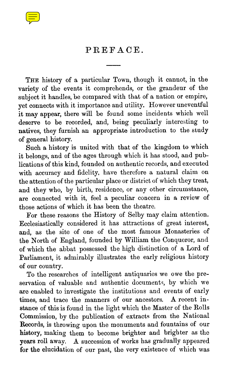

## PREFACE.

THE history of a particular Town, though it cannot, in the variety of the events it comprehends, or the grandeur of the subject it handles, be compared with that of a nation or empire, yet connects with it importance and utility. However uneventful it may appear, there will be found some incidents which well deserve to be recorded, and, being peculiarly interesting to natives, they furnish an appropriate introduction to the study of general history.

Such a history is united with that of the kingdom to which it belongs, and of the ages through which it has stood, and publications of this kind, founded on authentic records, and executed with accuracy and fidelity, have therefore a natural claim on the attention of the particular place or district of which they treat, and they who, by birth, residence, or any other circumstance, are connected with it, feel a peculiar concern in a review of those actions of which it has been the theatre.

For these reasons the History of Selby may claim attention . Ecclesiastically considered it has attractions of great interest, and, as the site of one of the most famous Monasteries of the North of England, founded by William the Conqueror, and of which the abbat possessed the high distinction of a Lord of Parliament, it admirably illustrates the early religious history of our country.

To the researches of intelligent antiquaries we owe the preservation of valuable and authentic documents, by which we are enabled to investigate the institutions and events of early times, and trace the manners of our ancestors. A recent instance of this is found in the light which the Master of the Rolls Commission, by the publication of extracts from the National Records, is throwing upon the monuments and fountains of our history, making them to become brighter and brighter as the years roll away. A succession of works has gradually appeared for the elucidation of our past, the very existence of which was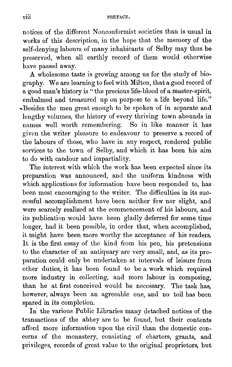notices of the different Nonconformist societies than is usual in works of this description, in the hope that the memory of the self-denying labours of many inhabitants of Selby may thus be preserved, when all earthly record of them would otherwise have passed away.

A wholesome taste is growing among us for the study of biography. We are learning to feel with Milton, that a good record of a good man's history is " the precious life-blood of a master-spirit, embalmed and treasured up on purpose to a life beyond life." -Besides the men great enough to be spoken of in separate and lengthy volumes, the history of every thriving town abounds in names well worth remembering. So in like manner it has given the writer pleasure to endeavour to preserve a record of the labours of those, who have in any respect, rendered public services to the town of Selby, and which it has been his aim to do with candour and impartiality.

The interest with which the work has been expected since its preparation was announced, and the uniform kindness with which applications for information have been responded to, has been most encouraging to the writer. The difficulties in its successful accomplishment have been neither few nor slight, and were scarcely realized at the commencement of his labours, and its publication would have been gladly deferred for some time longer, had it been possible, in order that, when accomplished, it might have been more worthy the acceptance of his readers. It is the first essay of the kind from his pen, his pretensions to the character of an antiquary are very small, and, as its preparation could only be undertaken at intervals of leisure from other duties, it has been found to be a work which required more industry in collecting, and more labour in composing. than he at first conceived would be necessary. The task has, however, always been an agreeable one, and no toil has been spared in its completion.

In the various Public Libraries many detached notices of the transactions of the abbey are to be found, but their contents afford more information upon the civil than the domestic concerns of the monastery, consisting of charters, grants, and privileges, records of great value to the original proprietors, but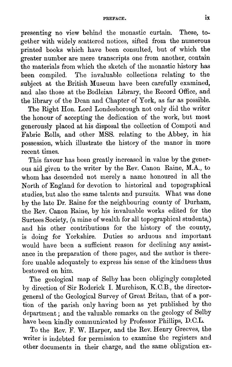presenting no view behind the monastic curtain. These, together with widely scattered notices, sifted from the numerous printed books which have been consulted, but of which the greater number are mere transcripts one from another, contain the materials from which the sketch of the monastic history has been compiled. The invaluable collections relating to the subject at the British Museum have been carefully examined, and also those at the Bodleian Library, the Record Office, and the library of the Dean and Chapter of York, as far as possible.

The Right Hon. Lord Londesborough not only did the writer the honour of accepting the dedication of the work, but most generously placed at his disposal the collection of Compoti an d Fabric Rolls, and other MSS. relating to the Abbey, in his possession, which illustrate the history of the manor in more recent times.

This favour has been greatly increased in value by the generous aid given to the writer by the Rev . Canon Raine, M.A., to whom has descended not merely a name honoured in all the North of England for devotion to historical and topographical studies, but also the same talents and pursuits. What was done by the late Dr. Raine for the neighbouring county of Durham, the Rev. Canon Raine, by his invaluable works edited for the Surtees Society, (a mine of wealth for all topographical students,) and his other contributions for the history of the county, is doing for Yorkshire. Duties so arduous and important would have been a sufficient reason for declining any assistance in the preparation of these pages, and the author is therefore unable adequately to express his sense of the kindness thus bestowed on him.

The geological map of Selby has been obligingly completed by direction of Sir Roderick I. Murchison, K.C.B., the directorgeneral of the Geological Survey of Great Britan, that of a portion of the parish only having been as yet published by the department ; and the valuable remarks on the geology of Selby have been kindly communicated by Professor Phillips, D.C.L.

To the Rev. F. W. Harper, and the Rev. Henry Greeves, the writer is indebted for permission to examine the registers and other documents in their charge, and the same obligation ex